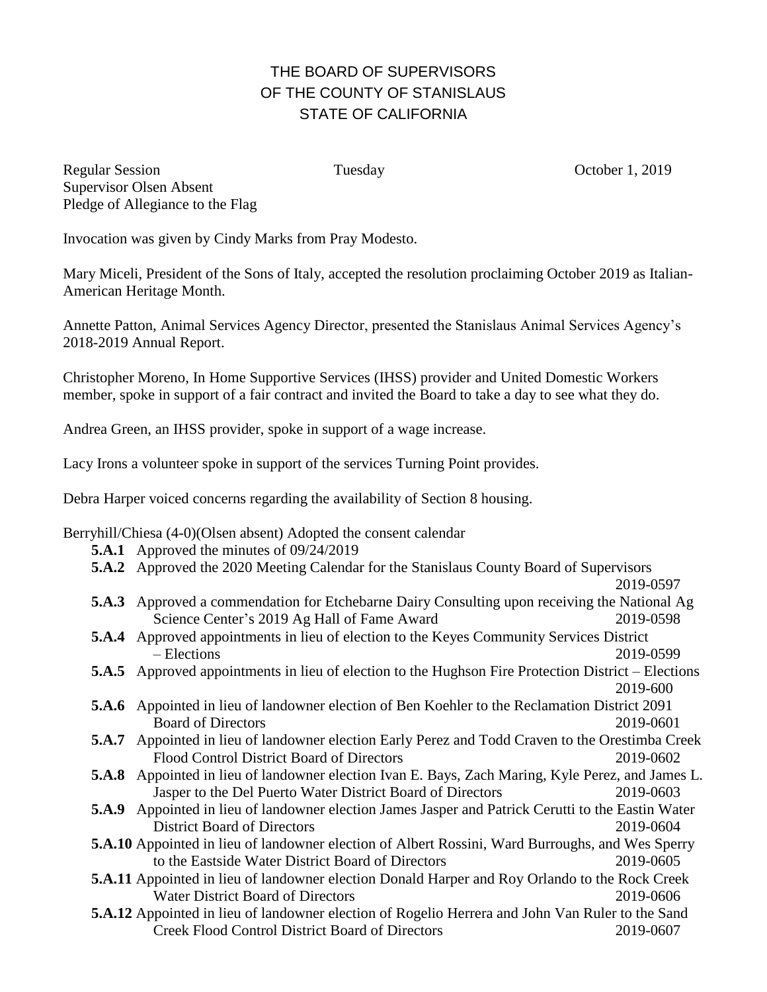## THE BOARD OF SUPERVISORS OF THE COUNTY OF STANISLAUS STATE OF CALIFORNIA

Regular Session Tuesday Tuesday October 1, 2019 Supervisor Olsen Absent Pledge of Allegiance to the Flag

Invocation was given by Cindy Marks from Pray Modesto.

Mary Miceli, President of the Sons of Italy, accepted the resolution proclaiming October 2019 as Italian-American Heritage Month.

Annette Patton, Animal Services Agency Director, presented the Stanislaus Animal Services Agency's 2018-2019 Annual Report.

Christopher Moreno, In Home Supportive Services (IHSS) provider and United Domestic Workers member, spoke in support of a fair contract and invited the Board to take a day to see what they do.

Andrea Green, an IHSS provider, spoke in support of a wage increase.

Lacy Irons a volunteer spoke in support of the services Turning Point provides.

Debra Harper voiced concerns regarding the availability of Section 8 housing.

Berryhill/Chiesa (4-0)(Olsen absent) Adopted the consent calendar

- **5.A.1** Approved the minutes of 09/24/2019
- **5.A.2** Approved the 2020 Meeting Calendar for the Stanislaus County Board of Supervisors

2019-0597

- **5.A.3** Approved a commendation for Etchebarne Dairy Consulting upon receiving the National Ag Science Center's 2019 Ag Hall of Fame Award 2019-0598
- **5.A.4** Approved appointments in lieu of election to the Keyes Community Services District – Elections 2019-0599
- **5.A.5** Approved appointments in lieu of election to the Hughson Fire Protection District Elections 2019-600
- **5.A.6** Appointed in lieu of landowner election of Ben Koehler to the Reclamation District 2091 Board of Directors 2019-0601
- **5.A.7** Appointed in lieu of landowner election Early Perez and Todd Craven to the Orestimba Creek Flood Control District Board of Directors 2019-0602
- **5.A.8** Appointed in lieu of landowner election Ivan E. Bays, Zach Maring, Kyle Perez, and James L. Jasper to the Del Puerto Water District Board of Directors 2019-0603
- **5.A.9** Appointed in lieu of landowner election James Jasper and Patrick Cerutti to the Eastin Water District Board of Directors 2019-0604
- **5.A.10** Appointed in lieu of landowner election of Albert Rossini, Ward Burroughs, and Wes Sperry to the Eastside Water District Board of Directors 2019-0605
- **5.A.11** Appointed in lieu of landowner election Donald Harper and Roy Orlando to the Rock Creek Water District Board of Directors 2019-0606
- **5.A.12** Appointed in lieu of landowner election of Rogelio Herrera and John Van Ruler to the Sand Creek Flood Control District Board of Directors 2019-0607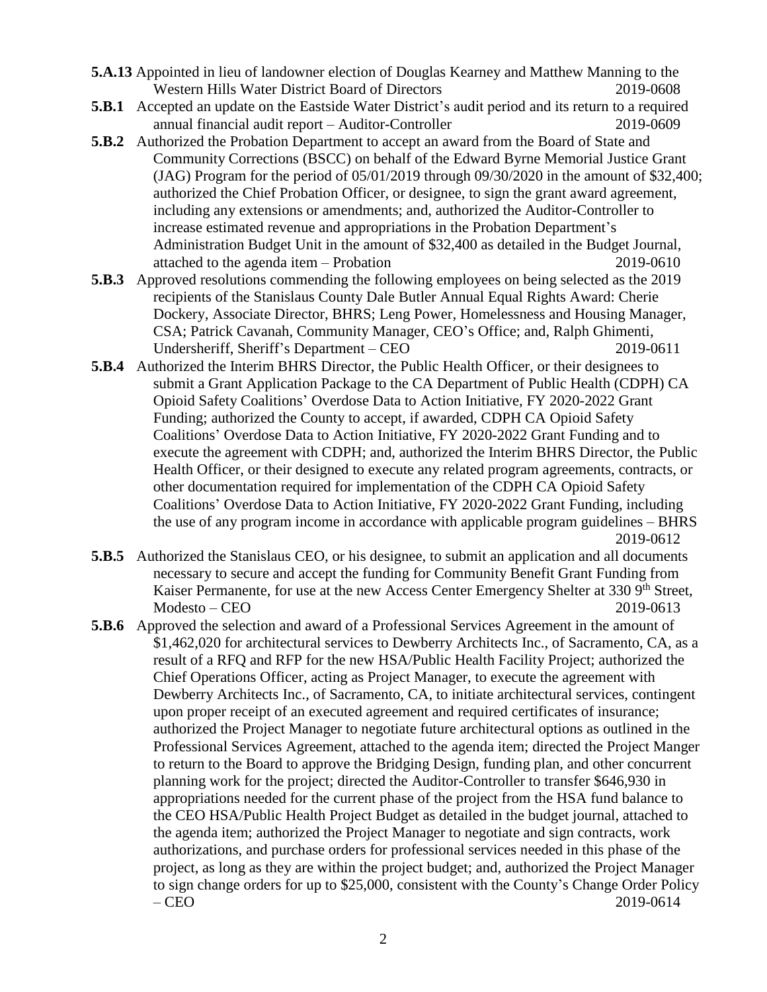- **5.A.13** Appointed in lieu of landowner election of Douglas Kearney and Matthew Manning to the Western Hills Water District Board of Directors 2019-0608
- **5.B.1** Accepted an update on the Eastside Water District's audit period and its return to a required annual financial audit report – Auditor-Controller 2019-0609
- **5.B.2** Authorized the Probation Department to accept an award from the Board of State and Community Corrections (BSCC) on behalf of the Edward Byrne Memorial Justice Grant (JAG) Program for the period of 05/01/2019 through 09/30/2020 in the amount of \$32,400; authorized the Chief Probation Officer, or designee, to sign the grant award agreement, including any extensions or amendments; and, authorized the Auditor-Controller to increase estimated revenue and appropriations in the Probation Department's Administration Budget Unit in the amount of \$32,400 as detailed in the Budget Journal, attached to the agenda item – Probation 2019-0610
- **5.B.3** Approved resolutions commending the following employees on being selected as the 2019 recipients of the Stanislaus County Dale Butler Annual Equal Rights Award: Cherie Dockery, Associate Director, BHRS; Leng Power, Homelessness and Housing Manager, CSA; Patrick Cavanah, Community Manager, CEO's Office; and, Ralph Ghimenti, Undersheriff, Sheriff's Department – CEO 2019-0611
- **5.B.4** Authorized the Interim BHRS Director, the Public Health Officer, or their designees to submit a Grant Application Package to the CA Department of Public Health (CDPH) CA Opioid Safety Coalitions' Overdose Data to Action Initiative, FY 2020-2022 Grant Funding; authorized the County to accept, if awarded, CDPH CA Opioid Safety Coalitions' Overdose Data to Action Initiative, FY 2020-2022 Grant Funding and to execute the agreement with CDPH; and, authorized the Interim BHRS Director, the Public Health Officer, or their designed to execute any related program agreements, contracts, or other documentation required for implementation of the CDPH CA Opioid Safety Coalitions' Overdose Data to Action Initiative, FY 2020-2022 Grant Funding, including the use of any program income in accordance with applicable program guidelines – BHRS 2019-0612
- **5.B.5** Authorized the Stanislaus CEO, or his designee, to submit an application and all documents necessary to secure and accept the funding for Community Benefit Grant Funding from Kaiser Permanente, for use at the new Access Center Emergency Shelter at 330 9<sup>th</sup> Street, Modesto – CEO 2019-0613
- **5.B.6** Approved the selection and award of a Professional Services Agreement in the amount of \$1,462,020 for architectural services to Dewberry Architects Inc., of Sacramento, CA, as a result of a RFQ and RFP for the new HSA/Public Health Facility Project; authorized the Chief Operations Officer, acting as Project Manager, to execute the agreement with Dewberry Architects Inc., of Sacramento, CA, to initiate architectural services, contingent upon proper receipt of an executed agreement and required certificates of insurance; authorized the Project Manager to negotiate future architectural options as outlined in the Professional Services Agreement, attached to the agenda item; directed the Project Manger to return to the Board to approve the Bridging Design, funding plan, and other concurrent planning work for the project; directed the Auditor-Controller to transfer \$646,930 in appropriations needed for the current phase of the project from the HSA fund balance to the CEO HSA/Public Health Project Budget as detailed in the budget journal, attached to the agenda item; authorized the Project Manager to negotiate and sign contracts, work authorizations, and purchase orders for professional services needed in this phase of the project, as long as they are within the project budget; and, authorized the Project Manager to sign change orders for up to \$25,000, consistent with the County's Change Order Policy – CEO 2019-0614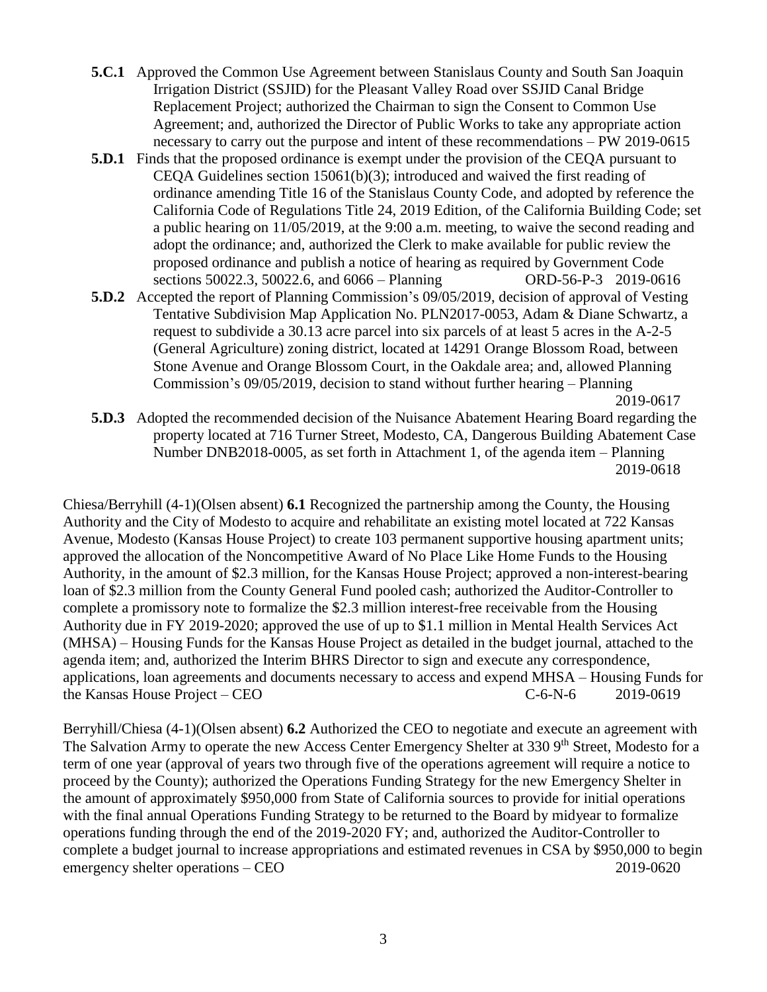- **5.C.1** Approved the Common Use Agreement between Stanislaus County and South San Joaquin Irrigation District (SSJID) for the Pleasant Valley Road over SSJID Canal Bridge Replacement Project; authorized the Chairman to sign the Consent to Common Use Agreement; and, authorized the Director of Public Works to take any appropriate action necessary to carry out the purpose and intent of these recommendations – PW 2019-0615
- **5.D.1** Finds that the proposed ordinance is exempt under the provision of the CEQA pursuant to CEQA Guidelines section 15061(b)(3); introduced and waived the first reading of ordinance amending Title 16 of the Stanislaus County Code, and adopted by reference the California Code of Regulations Title 24, 2019 Edition, of the California Building Code; set a public hearing on 11/05/2019, at the 9:00 a.m. meeting, to waive the second reading and adopt the ordinance; and, authorized the Clerk to make available for public review the proposed ordinance and publish a notice of hearing as required by Government Code sections 50022.3, 50022.6, and 6066 – Planning ORD-56-P-3 2019-0616
- **5.D.2** Accepted the report of Planning Commission's 09/05/2019, decision of approval of Vesting Tentative Subdivision Map Application No. PLN2017-0053, Adam & Diane Schwartz, a request to subdivide a 30.13 acre parcel into six parcels of at least 5 acres in the A-2-5 (General Agriculture) zoning district, located at 14291 Orange Blossom Road, between Stone Avenue and Orange Blossom Court, in the Oakdale area; and, allowed Planning Commission's 09/05/2019, decision to stand without further hearing – Planning

2019-0617

**5.D.3** Adopted the recommended decision of the Nuisance Abatement Hearing Board regarding the property located at 716 Turner Street, Modesto, CA, Dangerous Building Abatement Case Number DNB2018-0005, as set forth in Attachment 1, of the agenda item – Planning 2019-0618

Chiesa/Berryhill (4-1)(Olsen absent) **6.1** Recognized the partnership among the County, the Housing Authority and the City of Modesto to acquire and rehabilitate an existing motel located at 722 Kansas Avenue, Modesto (Kansas House Project) to create 103 permanent supportive housing apartment units; approved the allocation of the Noncompetitive Award of No Place Like Home Funds to the Housing Authority, in the amount of \$2.3 million, for the Kansas House Project; approved a non-interest-bearing loan of \$2.3 million from the County General Fund pooled cash; authorized the Auditor-Controller to complete a promissory note to formalize the \$2.3 million interest-free receivable from the Housing Authority due in FY 2019-2020; approved the use of up to \$1.1 million in Mental Health Services Act (MHSA) – Housing Funds for the Kansas House Project as detailed in the budget journal, attached to the agenda item; and, authorized the Interim BHRS Director to sign and execute any correspondence, applications, loan agreements and documents necessary to access and expend MHSA – Housing Funds for the Kansas House Project – CEO  $C=6-N-6$  2019-0619

Berryhill/Chiesa (4-1)(Olsen absent) **6.2** Authorized the CEO to negotiate and execute an agreement with The Salvation Army to operate the new Access Center Emergency Shelter at 330 9<sup>th</sup> Street, Modesto for a term of one year (approval of years two through five of the operations agreement will require a notice to proceed by the County); authorized the Operations Funding Strategy for the new Emergency Shelter in the amount of approximately \$950,000 from State of California sources to provide for initial operations with the final annual Operations Funding Strategy to be returned to the Board by midyear to formalize operations funding through the end of the 2019-2020 FY; and, authorized the Auditor-Controller to complete a budget journal to increase appropriations and estimated revenues in CSA by \$950,000 to begin emergency shelter operations – CEO 2019-0620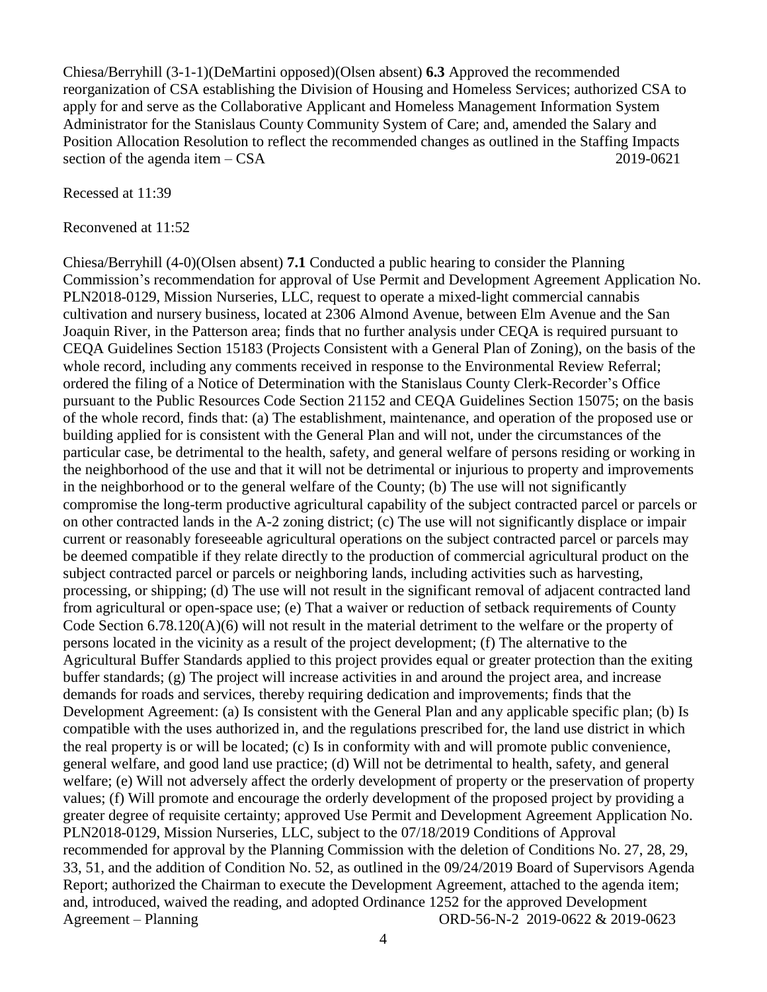Chiesa/Berryhill (3-1-1)(DeMartini opposed)(Olsen absent) **6.3** Approved the recommended reorganization of CSA establishing the Division of Housing and Homeless Services; authorized CSA to apply for and serve as the Collaborative Applicant and Homeless Management Information System Administrator for the Stanislaus County Community System of Care; and, amended the Salary and Position Allocation Resolution to reflect the recommended changes as outlined in the Staffing Impacts section of the agenda item – CSA 2019-0621

Recessed at 11:39

Reconvened at 11:52

Chiesa/Berryhill (4-0)(Olsen absent) **7.1** Conducted a public hearing to consider the Planning Commission's recommendation for approval of Use Permit and Development Agreement Application No. PLN2018-0129, Mission Nurseries, LLC, request to operate a mixed-light commercial cannabis cultivation and nursery business, located at 2306 Almond Avenue, between Elm Avenue and the San Joaquin River, in the Patterson area; finds that no further analysis under CEQA is required pursuant to CEQA Guidelines Section 15183 (Projects Consistent with a General Plan of Zoning), on the basis of the whole record, including any comments received in response to the Environmental Review Referral; ordered the filing of a Notice of Determination with the Stanislaus County Clerk-Recorder's Office pursuant to the Public Resources Code Section 21152 and CEQA Guidelines Section 15075; on the basis of the whole record, finds that: (a) The establishment, maintenance, and operation of the proposed use or building applied for is consistent with the General Plan and will not, under the circumstances of the particular case, be detrimental to the health, safety, and general welfare of persons residing or working in the neighborhood of the use and that it will not be detrimental or injurious to property and improvements in the neighborhood or to the general welfare of the County; (b) The use will not significantly compromise the long-term productive agricultural capability of the subject contracted parcel or parcels or on other contracted lands in the A-2 zoning district; (c) The use will not significantly displace or impair current or reasonably foreseeable agricultural operations on the subject contracted parcel or parcels may be deemed compatible if they relate directly to the production of commercial agricultural product on the subject contracted parcel or parcels or neighboring lands, including activities such as harvesting, processing, or shipping; (d) The use will not result in the significant removal of adjacent contracted land from agricultural or open-space use; (e) That a waiver or reduction of setback requirements of County Code Section  $6.78.120(A)(6)$  will not result in the material detriment to the welfare or the property of persons located in the vicinity as a result of the project development; (f) The alternative to the Agricultural Buffer Standards applied to this project provides equal or greater protection than the exiting buffer standards; (g) The project will increase activities in and around the project area, and increase demands for roads and services, thereby requiring dedication and improvements; finds that the Development Agreement: (a) Is consistent with the General Plan and any applicable specific plan; (b) Is compatible with the uses authorized in, and the regulations prescribed for, the land use district in which the real property is or will be located; (c) Is in conformity with and will promote public convenience, general welfare, and good land use practice; (d) Will not be detrimental to health, safety, and general welfare; (e) Will not adversely affect the orderly development of property or the preservation of property values; (f) Will promote and encourage the orderly development of the proposed project by providing a greater degree of requisite certainty; approved Use Permit and Development Agreement Application No. PLN2018-0129, Mission Nurseries, LLC, subject to the 07/18/2019 Conditions of Approval recommended for approval by the Planning Commission with the deletion of Conditions No. 27, 28, 29, 33, 51, and the addition of Condition No. 52, as outlined in the 09/24/2019 Board of Supervisors Agenda Report; authorized the Chairman to execute the Development Agreement, attached to the agenda item; and, introduced, waived the reading, and adopted Ordinance 1252 for the approved Development Agreement – Planning ORD-56-N-2 2019-0622 & 2019-0623